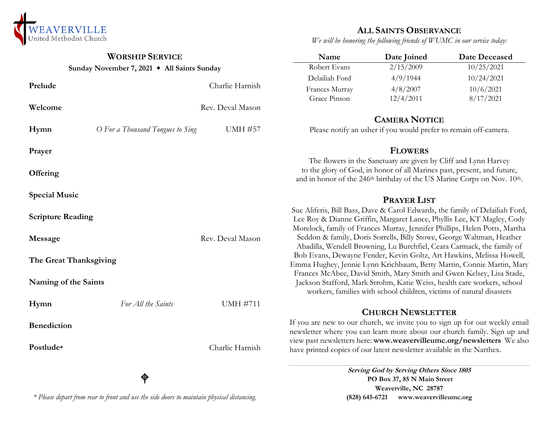

## **WORSHIP SERVICE**

**Sunday November 7, 2021 All Saints Sunday**

#### **Prelude** Charlie Harnish **Welcome** Rev. Deval Mason **Hymn** *O For a Thousand Tongues to Sing* UMH #57 **Prayer Offering Special Music Scripture Reading Message** Rev. Deval Mason **The Great Thanksgiving Naming of the Saints Hymn** *For All the Saints* UMH #711 **Benediction Postlude\*** Charlie Harnish ቀ Delailiah Ford 4/9/1944 10/24/2021 Frances Murray 4/8/2007 10/6/2021 Grace Pinson 12/4/2011 8/17/2021 **CAMERA NOTICE** Please notify an usher if you would prefer to remain off-camera. **FLOWERS** The flowers in the Sanctuary are given by Cliff and Lynn Harvey to the glory of God, in honor of all Marines past, present, and future, and in honor of the 246<sup>th</sup> birthday of the US Marine Corps on Nov. 10<sup>th</sup>. **PRAYER LIST**  Sue Aliferis, Bill Bass, Dave & Carol Edwards, the family of Delailiah Ford, Lee Roy & Dianne Griffin, Margaret Lance, Phyllis Lee, KT Magley, Cody Morelock, family of Frances Murray, Jennifer Phillips, Helen Potts, Martha Seddon & family, Doris Sorrells, Billy Stowe, George Waltman, Heather Abadilla, Wendell Browning, Lu Burchfiel, Ceara Carmack, the family of Bob Evans, Dewayne Fender, Kevin Goltz, Art Hawkins, Melissa Howell, Emma Hughey, Jennie Lynn Krichbaum, Betty Martin, Connie Martin, Mary Frances McAbee, David Smith, Mary Smith and Gwen Kelsey, Lisa Stade, Jackson Stafford, Mark Strohm, Katie Weiss, health care workers, school workers, families with school children, victims of natural disasters **CHURCH NEWSLETTER** If you are new to our church, we invite you to sign up for our weekly email newsletter where you can learn more about our church family. Sign up and view past newsletters here: **www.weavervilleumc.org/newsletters** We also have printed copies of our latest newsletter available in the Narthex. **Serving God by Serving Others Since 1805**

**PO Box 37, 85 N Main Street Weaverville, NC 28787 (828) 645-6721 [www.weavervilleumc.org](http://www.weavervilleumc.org/)**

**ALL SAINTS OBSERVANCE** *We will be honoring the following friends of WUMC in our service today:*

**Name Date Joined Date Deceased** Robert Evans 2/15/2009 10/25/2021

### *\* Please depart from rear to front and use the side doors to maintain physical distancing.*